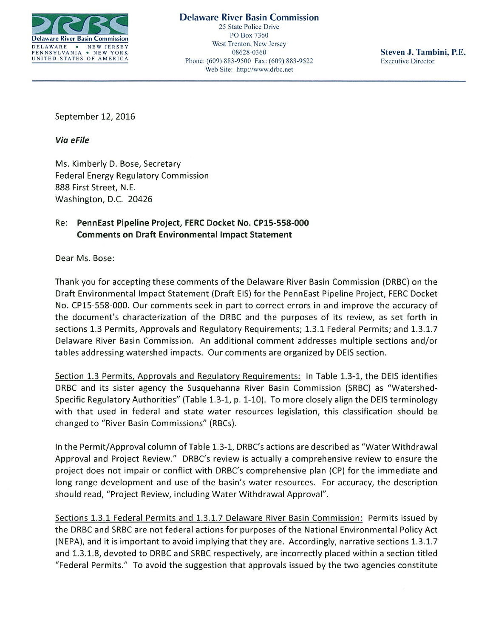

Delaware River Basin Commission 25 State Police Drive DELAWARE WEWTHERSEY West Trenton, New Jersey<br>
DELAWARE WEWTHERSEY West Trenton, New Jersey<br>
PENNSYLVANIA • NEW YORK 08628-0360 PENNSYLVANIA • NEW JERK<br>
UNITED STATES OF AMERICA Phone: (609) 883-9500 Fax: (609) 883-9522 Executive Director Web Site: http://www.drbc.net

September 12, 2016

Via eFile

Ms. Kimberly D. Bose, Secretary Federal Energy Regulatory Commission 888 First Street, N.E. Washington, D.C. 20426

## Re: PennEast Pipeline Project, FERC Docket No. CP1S-558-000 Comments on Draft Environmental Impact Statement

Dear Ms. Bose:

Thank you for accepting these comments of the Delaware River Basin Commission (DRBC) on the Draft Environmental Impact Statement (Draft EIS) for the PennEast Pipeline Project, FERC Docket No. CP15-558-000. Our comments seek in part to correct errors in and improve the accuracy of the document's characterization of the DRBC and the purposes of its review, as set forth in sections 1.3 Permits, Approvals and Regulatory Requirements; 1.3.1 Federal Permits; and 1.3.1.7 Delaware River Basin Commission. An additional comment addresses multiple sections and/or tables addressing watershed impacts. Our comments are organized by DEIS section.

Section 1.3 Permits, Approvals and Regulatory Requirements: In Table 1.3-1, the DEIS identifies DRBC and its sister agency the Susquehanna River Basin Commission (SRBC) as "Watershed Specific Regulatory Authorities" (Table 1.3-1, p. 1-10). To more closely align the DEIS terminology with that used in federal and state water resources legislation, this classification should be changed to "River Basin Commissions" (RBCs).

In the Permit/Approval column of Table 1.3-1, DRBC's actions are described as "Water Withdrawal Approval and Project Review." DRBC's review is actually <sup>a</sup> comprehensive review to ensure the project does not impair or conflict with DRBC's comprehensive plan (CP) for the immediate and long range development and use of the basin's water resources. For accuracy, the description should read, "Project Review, including Water Withdrawal Approval".

Sections 1.3.1 Federal Permits and 1.3.1.7 Delaware River Basin Commission: Permits issued by the DRBC and SRBC are not federal actions for purposes of the National Environmental Policy Act (NEPA), and it is important to avoid implying that they are. Accordingly, narrative sections 1.3.1.7 and 1.3.1.8, devoted to DRBC and SRBC respectively, are incorrectly placed within <sup>a</sup> section titled "Federal Permits." To avoid the suggestion that approvals issued by the two agencies constitute